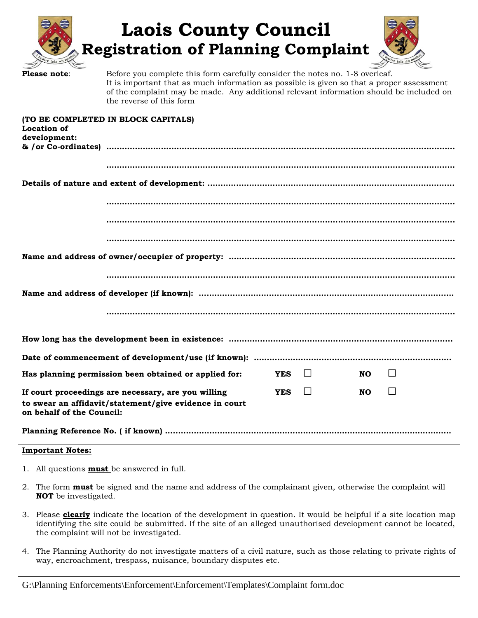|                                                                                                                                                                                     | <b>Laois County Council</b><br><b>Registration of Planning Complaint</b>                                                                                                                                                                                                                         |  |  |
|-------------------------------------------------------------------------------------------------------------------------------------------------------------------------------------|--------------------------------------------------------------------------------------------------------------------------------------------------------------------------------------------------------------------------------------------------------------------------------------------------|--|--|
| Please note:                                                                                                                                                                        | Before you complete this form carefully consider the notes no. 1-8 overleaf.<br>It is important that as much information as possible is given so that a proper assessment<br>of the complaint may be made. Any additional relevant information should be included on<br>the reverse of this form |  |  |
| <b>Location of</b>                                                                                                                                                                  | (TO BE COMPLETED IN BLOCK CAPITALS)                                                                                                                                                                                                                                                              |  |  |
| development:                                                                                                                                                                        |                                                                                                                                                                                                                                                                                                  |  |  |
|                                                                                                                                                                                     |                                                                                                                                                                                                                                                                                                  |  |  |
|                                                                                                                                                                                     |                                                                                                                                                                                                                                                                                                  |  |  |
|                                                                                                                                                                                     |                                                                                                                                                                                                                                                                                                  |  |  |
|                                                                                                                                                                                     |                                                                                                                                                                                                                                                                                                  |  |  |
|                                                                                                                                                                                     |                                                                                                                                                                                                                                                                                                  |  |  |
|                                                                                                                                                                                     |                                                                                                                                                                                                                                                                                                  |  |  |
|                                                                                                                                                                                     |                                                                                                                                                                                                                                                                                                  |  |  |
|                                                                                                                                                                                     |                                                                                                                                                                                                                                                                                                  |  |  |
|                                                                                                                                                                                     |                                                                                                                                                                                                                                                                                                  |  |  |
|                                                                                                                                                                                     |                                                                                                                                                                                                                                                                                                  |  |  |
|                                                                                                                                                                                     |                                                                                                                                                                                                                                                                                                  |  |  |
|                                                                                                                                                                                     | $\perp$<br>Has planning permission been obtained or applied for:<br>$\mathbf{L}$<br><b>NO</b><br><b>YES</b>                                                                                                                                                                                      |  |  |
| $\Box$<br>$\Box$<br>If court proceedings are necessary, are you willing<br><b>YES</b><br>NO.<br>to swear an affidavit/statement/give evidence in court<br>on behalf of the Council: |                                                                                                                                                                                                                                                                                                  |  |  |
|                                                                                                                                                                                     |                                                                                                                                                                                                                                                                                                  |  |  |
| <b>Important Notes:</b>                                                                                                                                                             |                                                                                                                                                                                                                                                                                                  |  |  |
| 1. All questions <b>must</b> be answered in full.                                                                                                                                   |                                                                                                                                                                                                                                                                                                  |  |  |
| 2. The form <b>must</b> be signed and the name and address of the complainant given, otherwise the complaint will                                                                   |                                                                                                                                                                                                                                                                                                  |  |  |

- **NOT** be investigated. 3. Please **clearly** indicate the location of the development in question. It would be helpful if a site location map identifying the site could be submitted. If the site of an alleged unauthorised development cannot be located,
- the complaint will not be investigated. 4. The Planning Authority do not investigate matters of a civil nature, such as those relating to private rights of

way, encroachment, trespass, nuisance, boundary disputes etc.